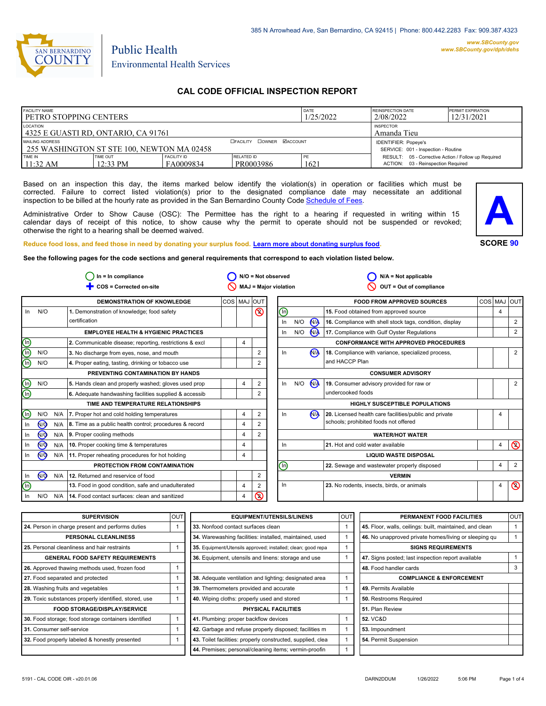

# Environmental Health Services

Public Health

# **CAL CODE OFFICIAL INSPECTION REPORT**

| <b>FACILITY NAME</b><br><b>I PETRO STOPPING CENTERS</b>                                           |                      | DATE<br>1/25/2022               | <b>REINSPECTION DATE</b><br><b>PERMIT EXPIRATION</b><br>12/31/2021<br>2/08/2022 |            |                                                                                           |  |
|---------------------------------------------------------------------------------------------------|----------------------|---------------------------------|---------------------------------------------------------------------------------|------------|-------------------------------------------------------------------------------------------|--|
| LOCATION<br>l 4325 E GUASTI RD. ONTARIO. CA 91761                                                 |                      | <b>INSPECTOR</b><br>Amanda Tieu |                                                                                 |            |                                                                                           |  |
| <b>OFACILITY COWNER MACCOUNT</b><br>MAILING ADDRESS<br>255 WASHINGTON ST STE 100, NEWTON MA 02458 |                      |                                 |                                                                                 |            | <b>IDENTIFIER: Popeye's</b><br>SERVICE: 001 - Inspection - Routine                        |  |
| TIME IN<br>11:32 AM                                                                               | TIME OUT<br>12:33 PM | <b>FACILITY ID</b><br>FA0009834 | RELATED ID<br>PR0003986                                                         | PE<br>1621 | RESULT: 05 - Corrective Action / Follow up Required<br>ACTION: 03 - Reinspection Required |  |

Based on an inspection this day, the items marked below identify the violation(s) in operation or facilities which must be corrected. Failure to correct listed violation(s) prior to the designated compliance date may necessitate an additional inspection to be billed at the hourly rate as provided in the San Bernardino County Co[de Schedule of Fees.](https://codelibrary.amlegal.com/codes/sanbernardino/latest/sanberncty_ca/0-0-0-122474#JD_16.0213B)

Administrative Order to Show Cause (OSC): The Permittee has the right to a hearing if requested in writing within 15 calendar days of receipt of this notice, to show cause why the permit to operate should not be suspended or revoked; otherwise the right to a hearing shall be deemed waived.



**SCORE 90**

**Reduce food loss, and feed those in need by donating your surplus f[ood. Learn more about donating surplus food.](https://wp.sbcounty.gov/dph/programs/ehs/charitable-food-service/)**

**See the following pages for the code sections and general requirements that correspond to each violation listed below.**

|                         |           |     | $In = In$ compliance                                          |             |                |                | $N/O = Not observed$         |                        |                | $N/A = Not$ applicable                                   |            |                |                |
|-------------------------|-----------|-----|---------------------------------------------------------------|-------------|----------------|----------------|------------------------------|------------------------|----------------|----------------------------------------------------------|------------|----------------|----------------|
|                         |           |     | COS = Corrected on-site                                       |             |                |                | MAJ = Major violation        |                        |                | OUT = Out of compliance                                  |            |                |                |
|                         |           |     | <b>DEMONSTRATION OF KNOWLEDGE</b>                             | COS MAJ OUT |                |                |                              |                        |                | <b>FOOD FROM APPROVED SOURCES</b>                        | <b>COS</b> | <b>MAJ</b>     | loutl          |
| In                      | N/O       |     | 1. Demonstration of knowledge; food safety                    |             |                | $\circledcirc$ | ⓪                            |                        |                | 15. Food obtained from approved source                   |            | $\overline{4}$ |                |
|                         |           |     | certification                                                 |             |                |                | In                           | N/O                    | $\sqrt{M}$     | 16. Compliance with shell stock tags, condition, display |            |                | 2              |
|                         |           |     | <b>EMPLOYEE HEALTH &amp; HYGIENIC PRACTICES</b>               |             |                |                | In                           | N/O                    | <b>NA</b>      | 17. Compliance with Gulf Oyster Regulations              |            |                | 2              |
| 900                     |           |     | 2. Communicable disease; reporting, restrictions & excl       |             | 4              |                |                              |                        |                | <b>CONFORMANCE WITH APPROVED PROCEDURES</b>              |            |                |                |
|                         | N/O       |     | 3. No discharge from eyes, nose, and mouth                    |             |                | 2              | In                           |                        | <b>NA</b>      | 18. Compliance with variance, specialized process,       |            |                | 2              |
|                         | N/O       |     | 4. Proper eating, tasting, drinking or tobacco use            |             |                |                |                              |                        |                | and HACCP Plan                                           |            |                |                |
|                         |           |     | PREVENTING CONTAMINATION BY HANDS                             |             |                |                |                              |                        |                | <b>CONSUMER ADVISORY</b>                                 |            |                |                |
|                         | N/O       |     | 5. Hands clean and properly washed; gloves used prop          |             | 4              | 2              | In                           | N/O                    | N <sub>/</sub> | 19. Consumer advisory provided for raw or                |            |                | 2              |
| @@                      |           |     | 6. Adequate handwashing facilities supplied & accessib        |             |                | $\overline{2}$ |                              |                        |                | undercooked foods                                        |            |                |                |
|                         |           |     | TIME AND TEMPERATURE RELATIONSHIPS                            |             |                |                |                              |                        |                | <b>HIGHLY SUSCEPTIBLE POPULATIONS</b>                    |            |                |                |
| $\mathbb O$             | N/O       |     | N/A 7. Proper hot and cold holding temperatures               |             | $\overline{4}$ | 2              | In                           |                        | <b>NA</b>      | 20. Licensed health care facilities/public and private   |            | 4              |                |
| In                      | <b>№</b>  |     | N/A   8. Time as a public health control; procedures & record |             | 4              |                |                              |                        |                | schools; prohibited foods not offered                    |            |                |                |
| In                      | <u>ଡ</u>  |     | N/A 9. Proper cooling methods                                 |             | 4              |                |                              | <b>WATER/HOT WATER</b> |                |                                                          |            |                |                |
| In                      | <b>√</b>  | N/A | 10. Proper cooking time & temperatures                        |             | 4              |                | In                           |                        |                | 21. Hot and cold water available                         |            | 4              | $\circledcirc$ |
| In                      | <b>NO</b> |     | N/A 11. Proper reheating procedures for hot holding           |             | 4              |                | <b>LIQUID WASTE DISPOSAL</b> |                        |                |                                                          |            |                |                |
|                         |           |     | PROTECTION FROM CONTAMINATION                                 |             |                |                | ⋒                            |                        |                | 22. Sewage and wastewater properly disposed              |            | 4              | $\overline{2}$ |
| In                      | <b>NO</b> |     | N/A 12. Returned and reservice of food                        |             |                | 2              |                              |                        |                | <b>VERMIN</b>                                            |            |                |                |
| $\overline{\mathbb{O}}$ |           |     | 13. Food in good condition, safe and unadulterated            |             | $\overline{4}$ | 2              | In                           |                        |                | 23. No rodents, insects, birds, or animals               |            | 4              | $\circledcirc$ |
| In                      | N/O       | N/A | 14. Food contact surfaces: clean and sanitized                |             | 4              | $\circledcirc$ |                              |                        |                |                                                          |            |                |                |

| <b>SUPERVISION</b>                                    | <b>OUT</b> | <b>EQUIPMENT/UTENSILS/LINENS</b>                             | lou. | PERMANENT FOOD FACILITIES                                | OUT |  |
|-------------------------------------------------------|------------|--------------------------------------------------------------|------|----------------------------------------------------------|-----|--|
| 24. Person in charge present and performs duties      |            | 33. Nonfood contact surfaces clean                           |      | 45. Floor, walls, ceilings: built, maintained, and clean |     |  |
| PERSONAL CLEANLINESS                                  |            | 34. Warewashing facilities: installed, maintained, used      |      | 46. No unapproved private homes/living or sleeping qu    |     |  |
| 25. Personal cleanliness and hair restraints          |            | 35. Equipment/Utensils approved; installed; clean; good repa |      | <b>SIGNS REQUIREMENTS</b>                                |     |  |
| <b>GENERAL FOOD SAFETY REQUIREMENTS</b>               |            | 36. Equipment, utensils and linens: storage and use          |      | 47. Signs posted; last inspection report available       |     |  |
| 26. Approved thawing methods used, frozen food        |            |                                                              |      | 48. Food handler cards                                   | 3   |  |
| 27. Food separated and protected                      |            | 38. Adequate ventilation and lighting; designated area       |      | <b>COMPLIANCE &amp; ENFORCEMENT</b>                      |     |  |
| 28. Washing fruits and vegetables                     |            | 39. Thermometers provided and accurate                       |      | 49. Permits Available                                    |     |  |
| 29. Toxic substances properly identified, stored, use |            | 40. Wiping cloths: properly used and stored                  |      | 50. Restrooms Required                                   |     |  |
| FOOD STORAGE/DISPLAY/SERVICE                          |            | PHYSICAL FACILITIES                                          |      | 51. Plan Review                                          |     |  |
| 30. Food storage; food storage containers identified  |            | 41. Plumbing: proper backflow devices                        |      | <b>52. VC&amp;D</b>                                      |     |  |
| 31. Consumer self-service                             |            | 42. Garbage and refuse properly disposed; facilities m       |      | 53. Impoundment                                          |     |  |
| 32. Food properly labeled & honestly presented        |            | 43. Toilet facilities: properly constructed, supplied, clea  |      | 54. Permit Suspension                                    |     |  |
|                                                       |            | 44. Premises; personal/cleaning items; vermin-proofin        |      |                                                          |     |  |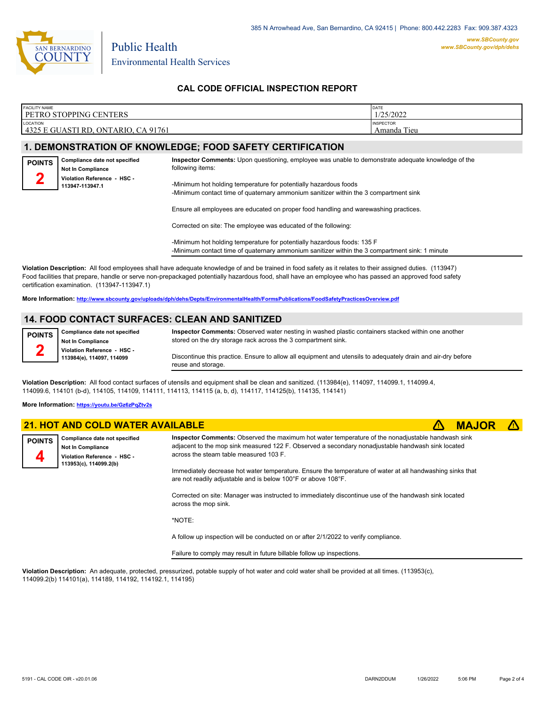

Environmental Health Services

Public Health

## **CAL CODE OFFICIAL INSPECTION REPORT**

| <b>FACILITY NAME</b>                                              | DATE                               |
|-------------------------------------------------------------------|------------------------------------|
| <b>PETRO STOPPING CENTERS</b>                                     | 1/25/2022                          |
| <b>LOCATION</b><br>, ONTARIO, CA 91761<br>4325 E GUASTI<br>'I RD. | <b>INSPECTOR</b><br>Tieu<br>Amanda |

### **1. DEMONSTRATION OF KNOWLEDGE; FOOD SAFETY CERTIFICATION**

| <b>POINTS</b>                                       | Compliance date not specified<br><b>Not In Compliance</b> | Inspector Comments: Upon questioning, employee was unable to demonstrate adequate knowledge of the<br>following items:                                                       |  |
|-----------------------------------------------------|-----------------------------------------------------------|------------------------------------------------------------------------------------------------------------------------------------------------------------------------------|--|
| ▱<br>Violation Reference - HSC -<br>113947-113947.1 |                                                           | -Minimum hot holding temperature for potentially hazardous foods                                                                                                             |  |
|                                                     |                                                           | -Minimum contact time of quaternary ammonium sanitizer within the 3 compartment sink<br>Ensure all employees are educated on proper food handling and warewashing practices. |  |

Corrected on site: The employee was educated of the following:

-Minimum hot holding temperature for potentially hazardous foods: 135 F -Minimum contact time of quaternary ammonium sanitizer within the 3 compartment sink: 1 minute

**Violation Description:** All food employees shall have adequate knowledge of and be trained in food safety as it relates to their assigned duties. (113947) Food facilities that prepare, handle or serve non-prepackaged potentially hazardous food, shall have an employee who has passed an approved food safety certification examination. (113947-113947.1)

**More Information: <http://www.sbcounty.gov/uploads/dph/dehs/Depts/EnvironmentalHealth/FormsPublications/FoodSafetyPracticesOverview.pdf>**

### **14. FOOD CONTACT SURFACES: CLEAN AND SANITIZED**

**POINTS 2**

**Inspector Comments:** Observed water nesting in washed plastic containers stacked within one another stored on the dry storage rack across the 3 compartment sink. Discontinue this practice. Ensure to allow all equipment and utensils to adequately drain and air-dry before reuse and storage.

**Violation Description:** All food contact surfaces of utensils and equipment shall be clean and sanitized. (113984(e), 114097, 114099.1, 114099.4, 114099.6, 114101 (b-d), 114105, 114109, 114111, 114113, 114115 (a, b, d), 114117, 114125(b), 114135, 114141)

#### **More Information: <https://youtu.be/Gz6zPqZtv2s>**

**Compliance date not specified Not In Compliance Violation Reference - HSC - 113984(e), 114097, 114099**

|                    | <b>21. HOT AND COLD WATER AVAILABLE</b>                                                                            |                                                                                                                                                                                                                                                  | <b>MAJOR</b> |  |
|--------------------|--------------------------------------------------------------------------------------------------------------------|--------------------------------------------------------------------------------------------------------------------------------------------------------------------------------------------------------------------------------------------------|--------------|--|
| <b>POINTS</b><br>4 | Compliance date not specified<br><b>Not In Compliance</b><br>Violation Reference - HSC -<br>113953(c), 114099.2(b) | Inspector Comments: Observed the maximum hot water temperature of the nonadjustable handwash sink<br>adjacent to the mop sink measured 122 F. Observed a secondary nonadjustable handwash sink located<br>across the steam table measured 103 F. |              |  |
|                    |                                                                                                                    | Immediately decrease hot water temperature. Ensure the temperature of water at all handwashing sinks that<br>are not readily adjustable and is below 100°F or above 108°F.                                                                       |              |  |
|                    |                                                                                                                    | Corrected on site: Manager was instructed to immediately discontinue use of the handwash sink located<br>across the mop sink.                                                                                                                    |              |  |
|                    |                                                                                                                    | *NOTE:                                                                                                                                                                                                                                           |              |  |
|                    |                                                                                                                    | A follow up inspection will be conducted on or after 2/1/2022 to verify compliance.                                                                                                                                                              |              |  |

Failure to comply may result in future billable follow up inspections.

**Violation Description:** An adequate, protected, pressurized, potable supply of hot water and cold water shall be provided at all times. (113953(c), 114099.2(b) 114101(a), 114189, 114192, 114192.1, 114195)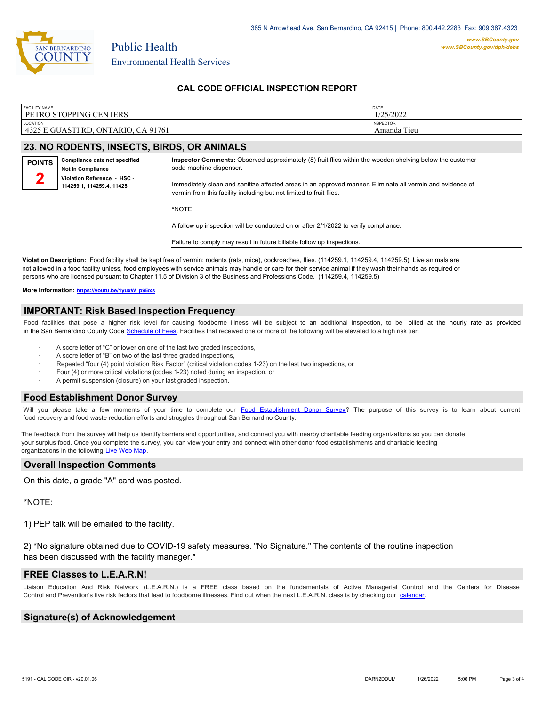

Environmental Health Services

## **CAL CODE OFFICIAL INSPECTION REPORT**

| <b>FACILITY NAME</b>                | DATE             |
|-------------------------------------|------------------|
| <b>PETRO STOPPING CENTERS</b>       | 1/25/2022        |
| <b>LOCATION</b>                     | <b>INSPECTOR</b> |
| 4325 E GUASTI RD, ONTARIO, CA 91761 | Amanda Tieu      |

#### **23. NO RODENTS, INSECTS, BIRDS, OR ANIMALS**

Public Health



**Inspector Comments:** Observed approximately (8) fruit flies within the wooden shelving below the customer soda machine dispenser.

Immediately clean and sanitize affected areas in an approved manner. Eliminate all vermin and evidence of vermin from this facility including but not limited to fruit flies.

\*NOTE:

A follow up inspection will be conducted on or after 2/1/2022 to verify compliance.

Failure to comply may result in future billable follow up inspections.

**Violation Description:** Food facility shall be kept free of vermin: rodents (rats, mice), cockroaches, flies. (114259.1, 114259.4, 114259.5) Live animals are not allowed in a food facility unless, food employees with service animals may handle or care for their service animal if they wash their hands as required or persons who are licensed pursuant to Chapter 11.5 of Division 3 of the Business and Professions Code. (114259.4, 114259.5)

**More Information: [https://youtu.be/1yuxW\\_p9Bxs](https://youtu.be/1yuxW_p9Bxs)**

#### **IMPORTANT: Risk Based Inspection Frequency**

Food facilities that pose a higher risk level for causing foodborne illness will be subject to an additional inspection, to be billed at the hourly rate as provided in the San Bernardino Count[y Code Schedule of Fees. Facilitie](https://codelibrary.amlegal.com/codes/sanbernardino/latest/sanberncty_ca/0-0-0-122474#JD_16.0213B)s that received one or more of the following will be elevated to a high risk tier:

- A score letter of "C" or lower on one of the last two graded inspections,
- A score letter of "B" on two of the last three graded inspections,
- Repeated "four (4) point violation Risk Factor" (critical violation codes 1-23) on the last two inspections, or
- · Four (4) or more critical violations (codes 1-23) noted during an inspection, or
- A permit suspension (closure) on your last graded inspection.

#### **Food Establishment Donor Survey**

Will you please take a few moments of your time to co[mplete our Food Establishment Donor Survey?](https://survey123.arcgis.com/share/626bb0fb21674c82832b0c0d557c5e80?field:faid=FA0009834&field:facility_name=PETRO%20STOPPING%20CENTERS¢er=34.06,-117.56&field:phone=9093907800) The purpose of this survey is to learn about current food recovery and food waste reduction efforts and struggles throughout San Bernardino County.

The feedback from the survey will help us identify barriers and opportunities, and connect you with nearby charitable feeding organizations so you can donate your surplus food. Once you complete the survey, you can view your entry and connect with other donor food establishments and charitable feeding organizations in the fol[lowing Live Web Map.](https://arcg.is/WvjGb)

### **Overall Inspection Comments**

On this date, a grade "A" card was posted.

\*NOTE:

1) PEP talk will be emailed to the facility.

2) \*No signature obtained due to COVID-19 safety measures. "No Signature." The contents of the routine inspection has been discussed with the facility manager.\*

# **FREE Classes to L.E.A.R.N!**

Liaison Education And Risk Network (L.E.A.R.N.) is a FREE class based on the fundamentals of Active Managerial Control and the Centers for Disease Control and Prevention's five risk factors that lead to foodborne illnesses. Find out when the next L.E.A.R.N. class is by checking our [calendar.](http://wp.sbcounty.gov/dph/events/)

# **Signature(s) of Acknowledgement**